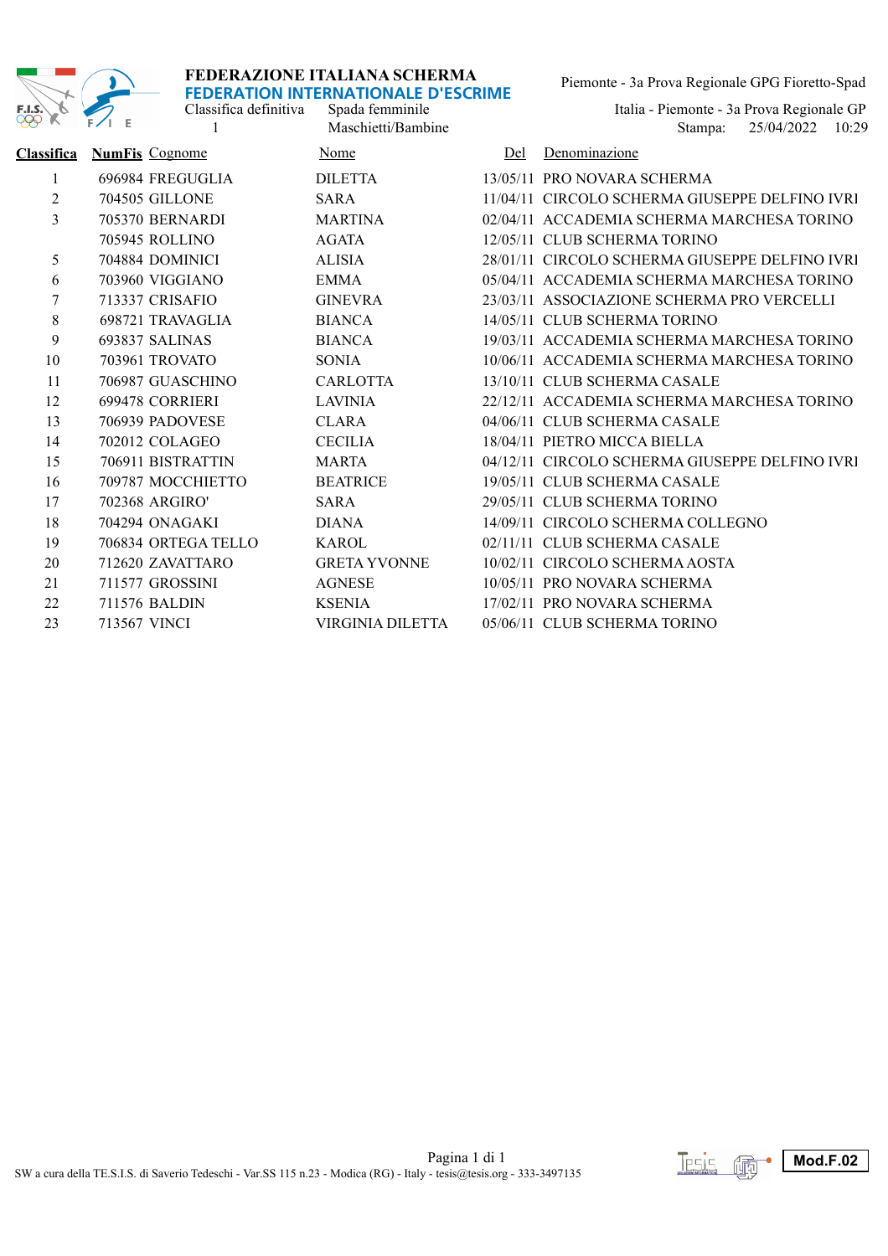

Classifica definitiva

Piemonte - 3a Prova Regionale GPG Fioretto-Spad

1 Maschietti/Bambine 1 25/04/2022 10:29 Spada femminile<br>Italia - Piemonte - 3a Prova Regionale GP<br>Maschietti/Bambine<br>Italia - Piemonte - 3a Prova Regionale GP

| <b>Classifica</b> | <b>NumFis Cognome</b> | Nome                | Del | Denominazione                                  |
|-------------------|-----------------------|---------------------|-----|------------------------------------------------|
| $\mathbf{1}$      | 696984 FREGUGLIA      | <b>DILETTA</b>      |     | 13/05/11 PRO NOVARA SCHERMA                    |
| 2                 | 704505 GILLONE        | <b>SARA</b>         |     | 11/04/11 CIRCOLO SCHERMA GIUSEPPE DELFINO IVRI |
| 3                 | 705370 BERNARDI       | <b>MARTINA</b>      |     | 02/04/11 ACCADEMIA SCHERMA MARCHESA TORINO     |
|                   | <b>705945 ROLLINO</b> | <b>AGATA</b>        |     | 12/05/11 CLUB SCHERMA TORINO                   |
| 5                 | 704884 DOMINICI       | <b>ALISIA</b>       |     | 28/01/11 CIRCOLO SCHERMA GIUSEPPE DELFINO IVRI |
| 6                 | 703960 VIGGIANO       | EMMA                |     | 05/04/11 ACCADEMIA SCHERMA MARCHESA TORINO     |
| 7                 | 713337 CRISAFIO       | <b>GINEVRA</b>      |     | 23/03/11 ASSOCIAZIONE SCHERMA PRO VERCELLI     |
| $8\,$             | 698721 TRAVAGLIA      | <b>BIANCA</b>       |     | 14/05/11 CLUB SCHERMA TORINO                   |
| 9                 | 693837 SALINAS        | <b>BIANCA</b>       |     | 19/03/11 ACCADEMIA SCHERMA MARCHESA TORINO     |
| 10                | 703961 TROVATO        | SONIA               |     | 10/06/11 ACCADEMIA SCHERMA MARCHESA TORINO     |
| 11                | 706987 GUASCHINO      | <b>CARLOTTA</b>     |     | 13/10/11 CLUB SCHERMA CASALE                   |
| 12                | 699478 CORRIERI       | <b>LAVINIA</b>      |     | 22/12/11 ACCADEMIA SCHERMA MARCHESA TORINO     |
| 13                | 706939 PADOVESE       | <b>CLARA</b>        |     | 04/06/11 CLUB SCHERMA CASALE                   |
| 14                | 702012 COLAGEO        | <b>CECILIA</b>      |     | 18/04/11 PIETRO MICCA BIELLA                   |
| 15                | 706911 BISTRATTIN     | <b>MARTA</b>        |     | 04/12/11 CIRCOLO SCHERMA GIUSEPPE DELFINO IVRI |
| 16                | 709787 MOCCHIETTO     | <b>BEATRICE</b>     |     | 19/05/11 CLUB SCHERMA CASALE                   |
| 17                | 702368 ARGIRO'        | <b>SARA</b>         |     | 29/05/11 CLUB SCHERMA TORINO                   |
| 18                | 704294 ONAGAKI        | <b>DIANA</b>        |     | 14/09/11 CIRCOLO SCHERMA COLLEGNO              |
| 19                | 706834 ORTEGA TELLO   | <b>KAROL</b>        |     | 02/11/11 CLUB SCHERMA CASALE                   |
| 20                | 712620 ZAVATTARO      | <b>GRETA YVONNE</b> |     | 10/02/11 CIRCOLO SCHERMA AOSTA                 |
| 21                | 711577 GROSSINI       | <b>AGNESE</b>       |     | 10/05/11 PRO NOVARA SCHERMA                    |
| 22                | 711576 BALDIN         | <b>KSENIA</b>       |     | 17/02/11 PRO NOVARA SCHERMA                    |
| 23                | 713567 VINCI          | VIRGINIA DILETTA    |     | 05/06/11 CLUB SCHERMA TORINO                   |
|                   |                       |                     |     |                                                |

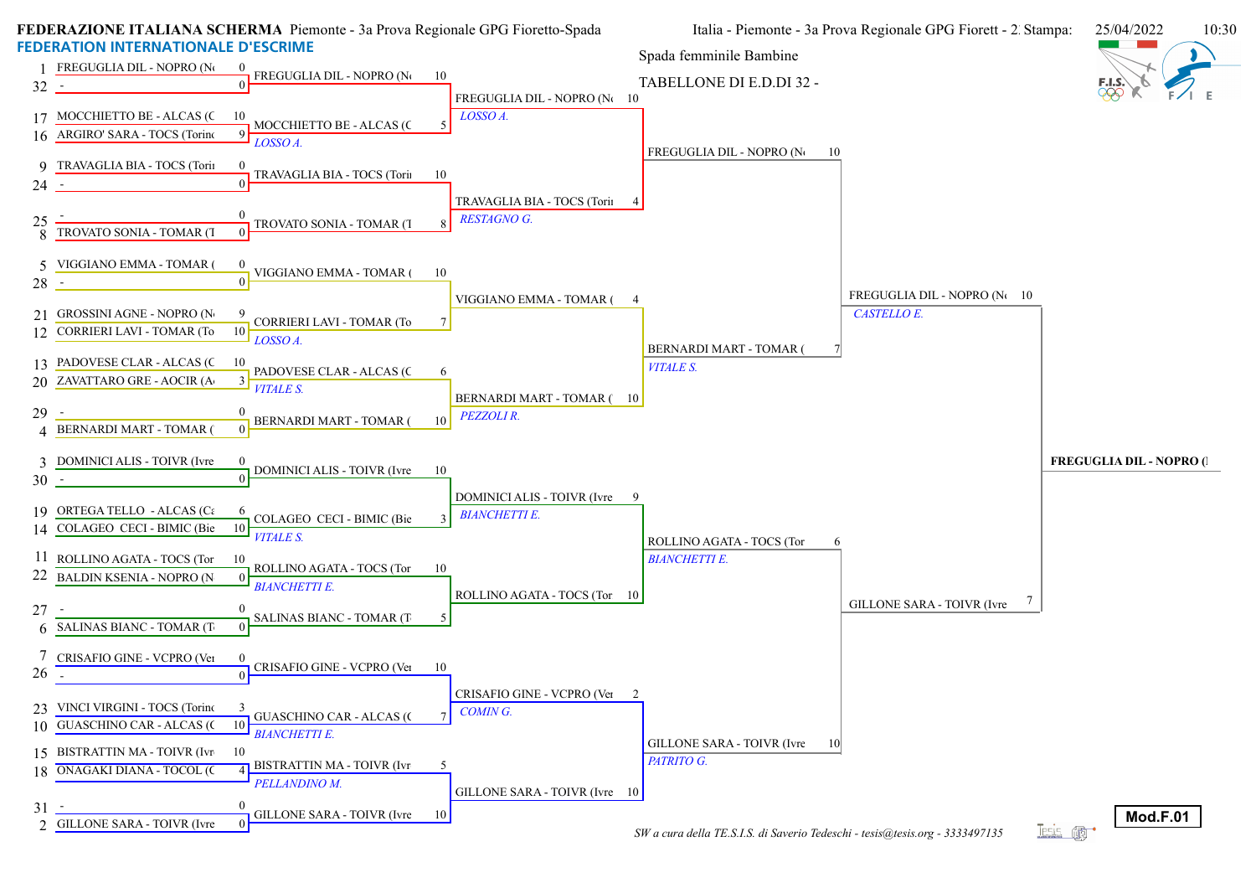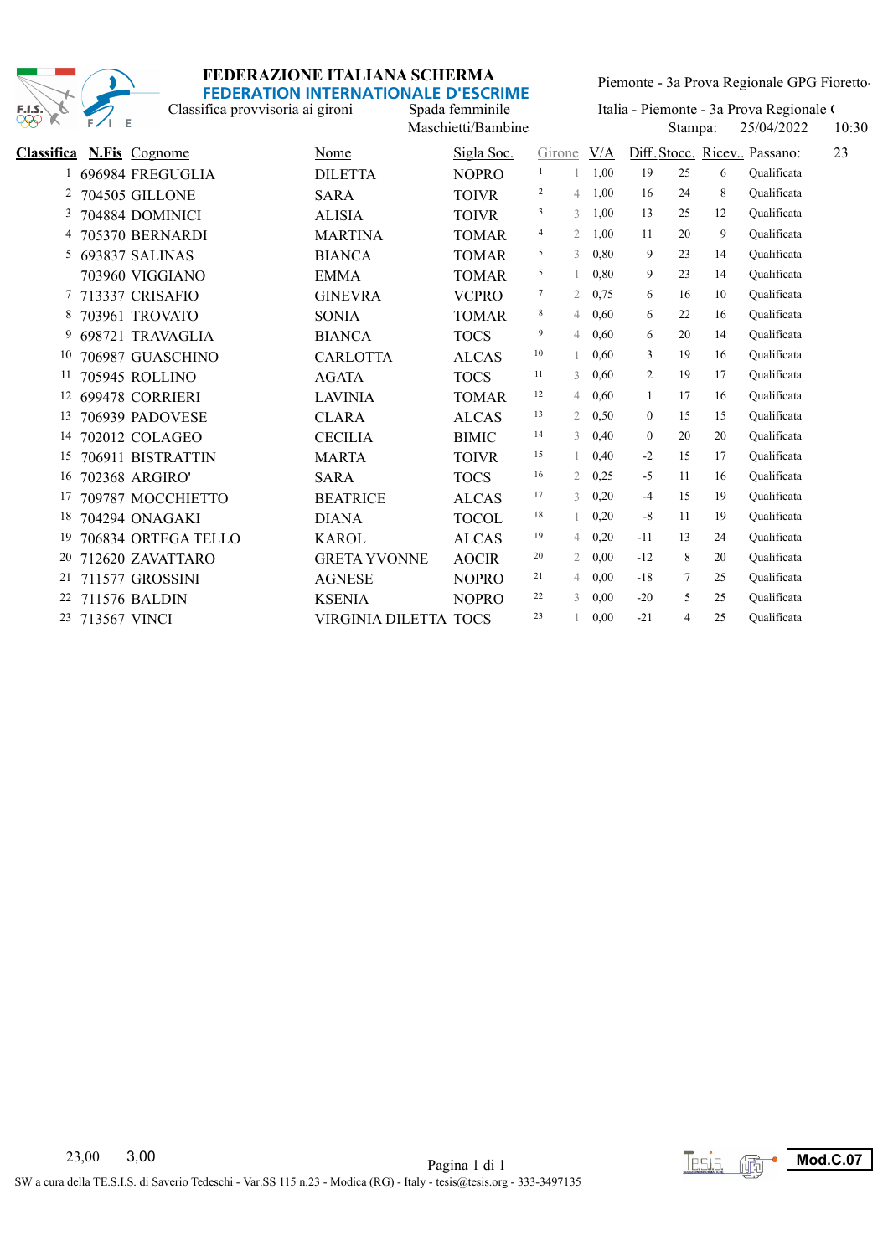

Classifica provvisoria ai gironi

Piemonte - 3a Prova Regionale GPG Fioretto-

Maschietti/Bambine 10:30 Stampa: 25/04/2022 10:30 Spada femminile Italia - Piemonte - 3a Prova Regionale (<br>Maschietti/Bambine Stampa: 25/04/2022 10:30

| <b>Classifica</b> |              | <b>N.Fis</b> Cognome  | Nome                  | Sigla Soc.   | Girone |                | V/A  |                |        |    | 23<br>Diff. Stocc. Ricev Passano: |
|-------------------|--------------|-----------------------|-----------------------|--------------|--------|----------------|------|----------------|--------|----|-----------------------------------|
| 1                 |              | 696984 FREGUGLIA      | <b>DILETTA</b>        | <b>NOPRO</b> | 1      |                | 1.00 | 19             | 25     | 6  | Oualificata                       |
| 2                 |              | <b>704505 GILLONE</b> | <b>SARA</b>           | <b>TOIVR</b> | 2      | 4              | 1.00 | 16             | 24     | 8  | Oualificata                       |
| 3                 |              | 704884 DOMINICI       | <b>ALISIA</b>         | <b>TOIVR</b> | 3      | 3              | 1,00 | 13             | 25     | 12 | Oualificata                       |
| 4                 |              | 705370 BERNARDI       | <b>MARTINA</b>        | <b>TOMAR</b> | 4      | $\overline{2}$ | 1,00 | 11             | 20     | 9  | Oualificata                       |
| 5                 |              | 693837 SALINAS        | <b>BIANCA</b>         | <b>TOMAR</b> | 5      | 3              | 0.80 | 9              | 23     | 14 | Oualificata                       |
|                   |              | 703960 VIGGIANO       | <b>EMMA</b>           | <b>TOMAR</b> | 5      | $\mathbf{1}$   | 0,80 | 9              | 23     | 14 | Oualificata                       |
| 7                 |              | 713337 CRISAFIO       | <b>GINEVRA</b>        | <b>VCPRO</b> | 7      | $\overline{2}$ | 0.75 | 6              | 16     | 10 | Oualificata                       |
| 8                 |              | 703961 TROVATO        | <b>SONIA</b>          | <b>TOMAR</b> | 8      | 4              | 0,60 | 6              | 22     | 16 | Oualificata                       |
| 9                 |              | 698721 TRAVAGLIA      | <b>BIANCA</b>         | <b>TOCS</b>  | 9      | 4              | 0,60 | 6              | 20     | 14 | Oualificata                       |
| 10                |              | 706987 GUASCHINO      | <b>CARLOTTA</b>       | <b>ALCAS</b> | 10     | $\mathbf{1}$   | 0,60 | 3              | 19     | 16 | Oualificata                       |
| 11                |              | <b>705945 ROLLINO</b> | <b>AGATA</b>          | <b>TOCS</b>  | 11     | 3              | 0,60 | $\overline{2}$ | 19     | 17 | Oualificata                       |
| 12                |              | 699478 CORRIERI       | <b>LAVINIA</b>        | <b>TOMAR</b> | 12     | $\overline{4}$ | 0,60 | 1              | 17     | 16 | Qualificata                       |
| 13                |              | 706939 PADOVESE       | <b>CLARA</b>          | <b>ALCAS</b> | 13     | $\overline{2}$ | 0.50 | $\overline{0}$ | 15     | 15 | Oualificata                       |
| 14                |              | 702012 COLAGEO        | <b>CECILIA</b>        | <b>BIMIC</b> | 14     | 3              | 0,40 | $\theta$       | 20     | 20 | Oualificata                       |
| 15                |              | 706911 BISTRATTIN     | <b>MARTA</b>          | <b>TOIVR</b> | 15     |                | 0,40 | $-2$           | 15     | 17 | Oualificata                       |
| 16                |              | 702368 ARGIRO'        | <b>SARA</b>           | <b>TOCS</b>  | 16     | 2              | 0,25 | $-5$           | 11     | 16 | Oualificata                       |
| 17                |              | 709787 MOCCHIETTO     | <b>BEATRICE</b>       | <b>ALCAS</b> | 17     | 3              | 0,20 | $-4$           | 15     | 19 | Oualificata                       |
| 18                |              | 704294 ONAGAKI        | <b>DIANA</b>          | <b>TOCOL</b> | 18     | 1              | 0,20 | $-8$           | 11     | 19 | Oualificata                       |
| 19                |              | 706834 ORTEGA TELLO   | <b>KAROL</b>          | <b>ALCAS</b> | 19     | 4              | 0,20 | $-11$          | 13     | 24 | Oualificata                       |
| 20                |              | 712620 ZAVATTARO      | <b>GRETA YVONNE</b>   | <b>AOCIR</b> | 20     | $\overline{2}$ | 0.00 | $-12$          | 8      | 20 | Oualificata                       |
| 21                |              | 711577 GROSSINI       | <b>AGNESE</b>         | <b>NOPRO</b> | 21     | $\overline{4}$ | 0.00 | $-18$          | $\tau$ | 25 | Oualificata                       |
| 22                |              | 711576 BALDIN         | <b>KSENIA</b>         | <b>NOPRO</b> | 22     | 3              | 0.00 | $-20$          | 5      | 25 | Qualificata                       |
| 23                | 713567 VINCI |                       | VIRGINIA DILETTA TOCS |              | 23     |                | 0,00 | $-21$          | 4      | 25 | Oualificata                       |
|                   |              |                       |                       |              |        |                |      |                |        |    |                                   |

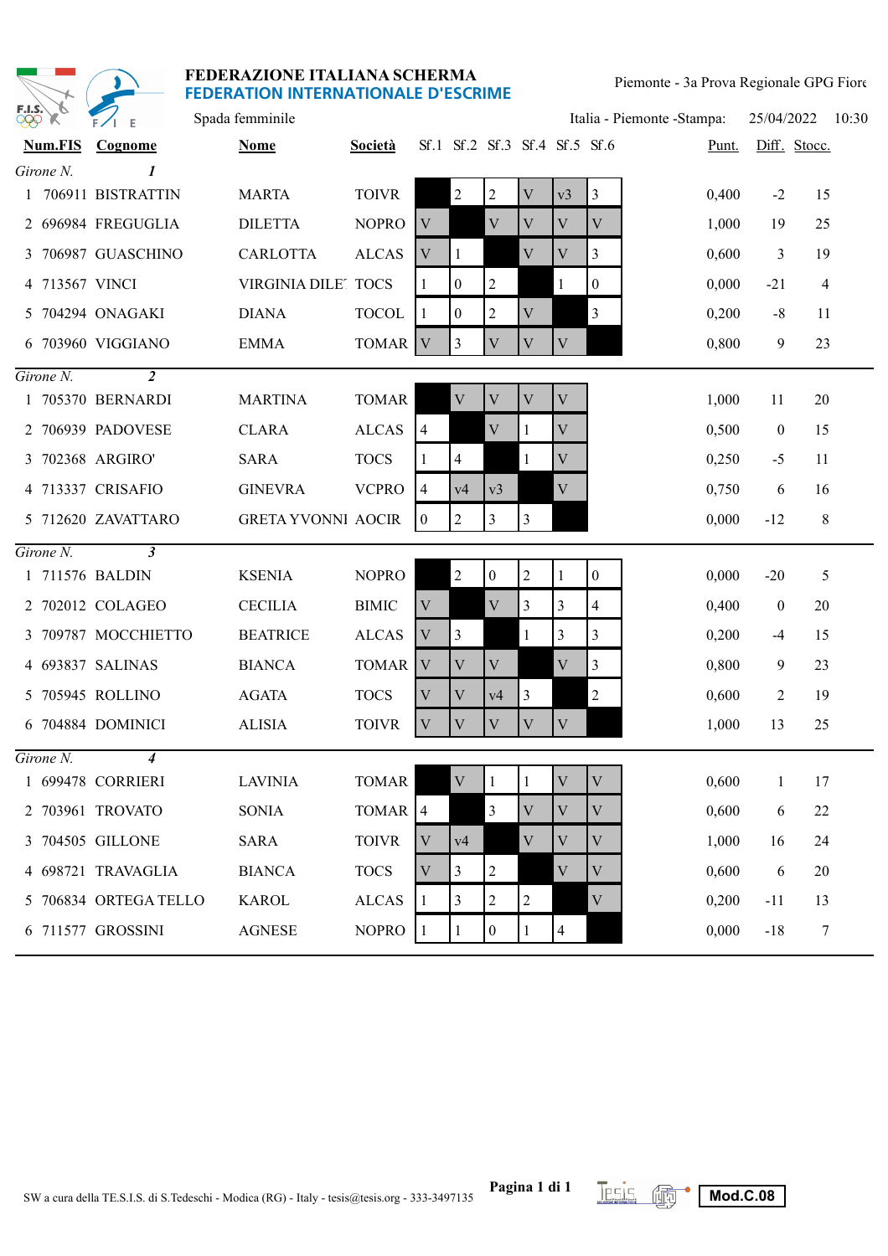

| $\frac{\partial}{\partial \varphi}$ $\chi$ | $F/I$ E             | Spada femminile           |                    |                           |                  |                               |                |                          |                  | Italia - Piemonte - Stampa: | 25/04/2022       |              | 10:30 |
|--------------------------------------------|---------------------|---------------------------|--------------------|---------------------------|------------------|-------------------------------|----------------|--------------------------|------------------|-----------------------------|------------------|--------------|-------|
| <b>Num.FIS</b>                             | Cognome             | <b>Nome</b>               | <b>Società</b>     |                           |                  | Sf.1 Sf.2 Sf.3 Sf.4 Sf.5 Sf.6 |                |                          |                  | Punt.                       |                  | Diff. Stocc. |       |
| Girone N.                                  | 1                   |                           |                    |                           |                  |                               |                |                          |                  |                             |                  |              |       |
|                                            | 1 706911 BISTRATTIN | <b>MARTA</b>              | <b>TOIVR</b>       |                           | $\overline{2}$   | $\overline{c}$                | $\mathbf V$    | v3                       | 3                | 0,400                       | $-2$             | 15           |       |
|                                            | 2 696984 FREGUGLIA  | <b>DILETTA</b>            | <b>NOPRO</b>       | V                         |                  | $\rm V$                       | V              | $\mathbf{V}$             | V                | 1,000                       | 19               | 25           |       |
|                                            | 3 706987 GUASCHINO  | <b>CARLOTTA</b>           | <b>ALCAS</b>       | $\mathbf V$               |                  |                               | $\mathbf{V}$   | V                        | 3                | 0,600                       | 3                | 19           |       |
| 4 713567 VINCI                             |                     | VIRGINIA DILE' TOCS       |                    | 1                         | $\boldsymbol{0}$ | $\overline{2}$                |                | 1                        | $\boldsymbol{0}$ | 0,000                       | $-21$            | 4            |       |
|                                            | 5 704294 ONAGAKI    | <b>DIANA</b>              | <b>TOCOL</b>       | 1                         | $\mathbf{0}$     | 2                             | V              |                          | 3                | 0,200                       | $-8$             | 11           |       |
|                                            | 6 703960 VIGGIANO   | <b>EMMA</b>               | TOMAR <sup>1</sup> | $\mathbf{V}$              | 3                | $\mathbf{V}$                  | V              | V                        |                  | 0,800                       | 9                | 23           |       |
| $Girone N$ .                               | $\overline{a}$      |                           |                    |                           |                  |                               |                |                          |                  |                             |                  |              |       |
|                                            | 1 705370 BERNARDI   | <b>MARTINA</b>            | <b>TOMAR</b>       |                           | V                | V                             | V              | V                        |                  | 1,000                       | 11               | 20           |       |
|                                            | 2 706939 PADOVESE   | <b>CLARA</b>              | <b>ALCAS</b>       | $\overline{4}$            |                  | V                             | 1              | V                        |                  | 0,500                       | $\mathbf{0}$     | 15           |       |
|                                            | 3 702368 ARGIRO'    | <b>SARA</b>               | <b>TOCS</b>        | 1                         | $\overline{4}$   |                               | 1              | $\mathbf V$              |                  | 0,250                       | $-5$             | 11           |       |
|                                            | 4 713337 CRISAFIO   | <b>GINEVRA</b>            | <b>VCPRO</b>       | $\overline{4}$            | v4               | v3                            |                | V                        |                  | 0,750                       | 6                | 16           |       |
|                                            | 5 712620 ZAVATTARO  | <b>GRETA YVONNI AOCIR</b> |                    | $\theta$                  | 2                | 3                             | 3              |                          |                  | 0,000                       | $-12$            | 8            |       |
| Girone N.                                  | $\mathfrak{z}$      |                           |                    |                           |                  |                               |                |                          |                  |                             |                  |              |       |
|                                            | 1 711576 BALDIN     | <b>KSENIA</b>             | <b>NOPRO</b>       |                           | $\mathbf{2}$     | 0                             | $\overline{2}$ | 1                        | $\boldsymbol{0}$ | 0,000                       | $-20$            | 5            |       |
|                                            | 2 702012 COLAGEO    | <b>CECILIA</b>            | <b>BIMIC</b>       | $\ensuremath{\mathbf{V}}$ |                  | $\mathbf{V}$                  | $\overline{3}$ | 3                        | 4                | 0,400                       | $\boldsymbol{0}$ | 20           |       |
|                                            | 3 709787 MOCCHIETTO | <b>BEATRICE</b>           | <b>ALCAS</b>       | $\ensuremath{\text{V}}$   | 3                |                               | $\mathbf{1}$   | 3                        | 3                | 0,200                       | $-4$             | 15           |       |
|                                            | 4 693837 SALINAS    | <b>BIANCA</b>             | <b>TOMAR</b>       | V                         | V                | V                             |                | V                        | 3                | 0,800                       | 9                | 23           |       |
|                                            | 5 705945 ROLLINO    | <b>AGATA</b>              | <b>TOCS</b>        | V                         | V                | v4                            | $\overline{3}$ |                          | $\overline{2}$   | 0,600                       | 2                | 19           |       |
|                                            | 6 704884 DOMINICI   | <b>ALISIA</b>             | <b>TOIVR</b>       | V                         | V                | V                             | V              | V                        |                  | 1,000                       | 13               | 25           |       |
| $Girone N$ .                               | $\boldsymbol{4}$    |                           |                    |                           |                  |                               |                |                          |                  |                             |                  |              |       |
|                                            | 1 699478 CORRIERI   | <b>LAVINIA</b>            | <b>TOMAR</b>       |                           | V                |                               |                | V                        | V                | 0,600                       |                  | 17           |       |
|                                            | 2 703961 TROVATO    | SONIA                     | TOMAR <sup>4</sup> |                           |                  | 3                             | V              | $\mathbf{V}$             | V                | 0,600                       | 6                | 22           |       |
|                                            | 3 704505 GILLONE    | <b>SARA</b>               | <b>TOIVR</b>       | V                         | v4               |                               | $\mathbf V$    | V                        | V                | 1,000                       | 16               | 24           |       |
|                                            | 4 698721 TRAVAGLIA  | <b>BIANCA</b>             | <b>TOCS</b>        | V                         | 3                | $\overline{c}$                |                | V                        | V                | 0,600                       | 6                | 20           |       |
|                                            | 706834 ORTEGA TELLO | <b>KAROL</b>              | <b>ALCAS</b>       | 1                         | 3                | 2                             | $\overline{2}$ |                          | V                | 0,200                       | $-11$            | 13           |       |
|                                            | 6 711577 GROSSINI   | <b>AGNESE</b>             | <b>NOPRO</b>       | -1                        | 1                | $\boldsymbol{0}$              |                | $\overline{\mathcal{A}}$ |                  | 0,000                       | $-18$            | $\tau$       |       |

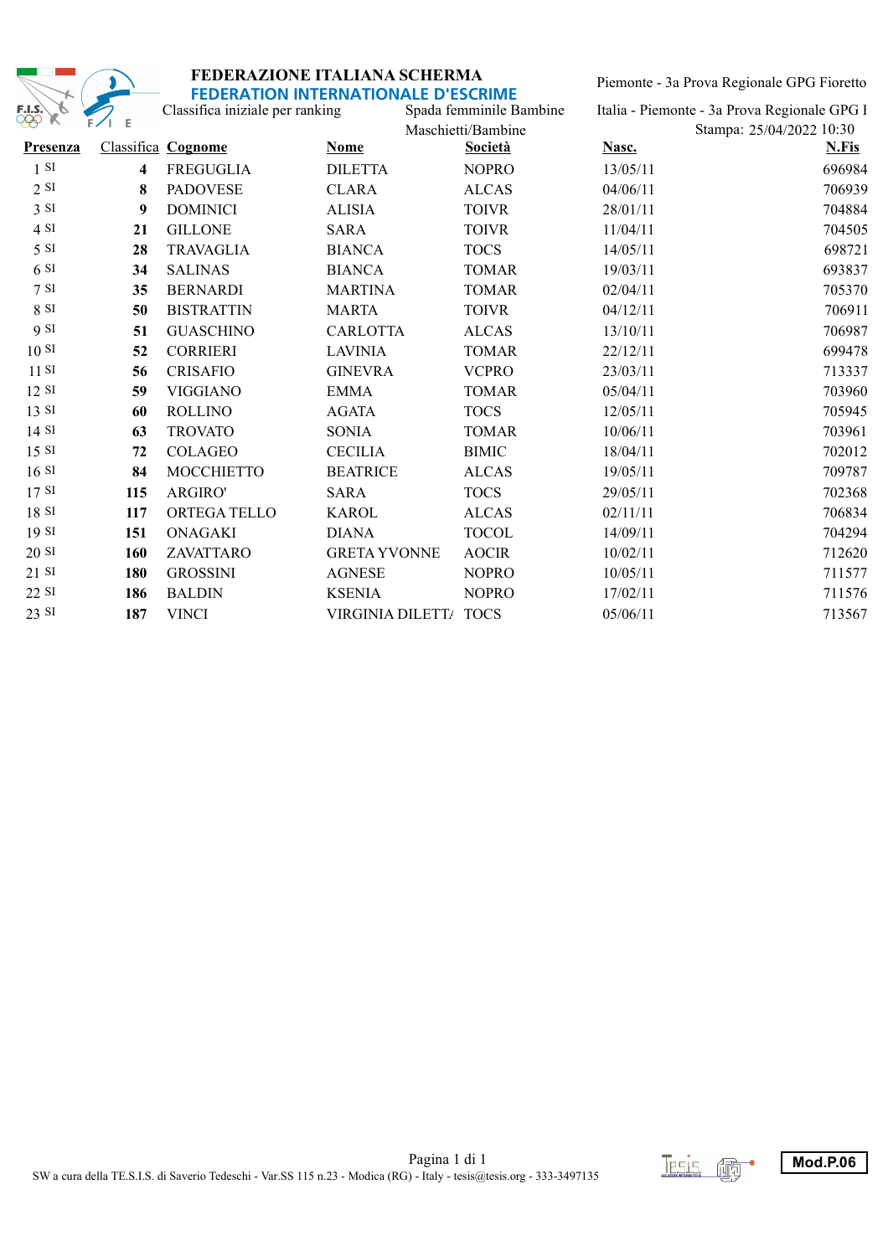

Piemonte - 3a Prova Regionale GPG Fioretto-

| F.I.S.           |                         | Classifica iniziale per ranking | <u>DENATION INTENNATIONALE D'ESCRIVIE</u> | Spada femminile Bambine |          | Italia - Piemonte - 3a Prova Regionale GPG l |
|------------------|-------------------------|---------------------------------|-------------------------------------------|-------------------------|----------|----------------------------------------------|
| $\gg$            | Е<br>FZI                |                                 |                                           | Maschietti/Bambine      |          | Stampa: 25/04/2022 10:30                     |
| <b>Presenza</b>  |                         | Classifica Cognome              | <b>Nome</b>                               | <b>Società</b>          | Nasc.    | N.Fis                                        |
| 1 S <sub>I</sub> | $\overline{\mathbf{4}}$ | <b>FREGUGLIA</b>                | <b>DILETTA</b>                            | <b>NOPRO</b>            | 13/05/11 | 696984                                       |
| 2 S I            | 8                       | <b>PADOVESE</b>                 | <b>CLARA</b>                              | <b>ALCAS</b>            | 04/06/11 | 706939                                       |
| 3 S1             | 9                       | <b>DOMINICI</b>                 | <b>ALISIA</b>                             | <b>TOIVR</b>            | 28/01/11 | 704884                                       |
| 4 SI             | 21                      | <b>GILLONE</b>                  | <b>SARA</b>                               | <b>TOIVR</b>            | 11/04/11 | 704505                                       |
| 5 S1             | 28                      | <b>TRAVAGLIA</b>                | <b>BIANCA</b>                             | <b>TOCS</b>             | 14/05/11 | 698721                                       |
| 6S1              | 34                      | <b>SALINAS</b>                  | <b>BIANCA</b>                             | <b>TOMAR</b>            | 19/03/11 | 693837                                       |
| 7S               | 35                      | <b>BERNARDI</b>                 | <b>MARTINA</b>                            | <b>TOMAR</b>            | 02/04/11 | 705370                                       |
| 8 SI             | 50                      | <b>BISTRATTIN</b>               | <b>MARTA</b>                              | <b>TOIVR</b>            | 04/12/11 | 706911                                       |
| 9 SI             | 51                      | <b>GUASCHINO</b>                | <b>CARLOTTA</b>                           | <b>ALCAS</b>            | 13/10/11 | 706987                                       |
| 10S              | 52                      | <b>CORRIERI</b>                 | <b>LAVINIA</b>                            | <b>TOMAR</b>            | 22/12/11 | 699478                                       |
| 11S              | 56                      | <b>CRISAFIO</b>                 | <b>GINEVRA</b>                            | <b>VCPRO</b>            | 23/03/11 | 713337                                       |
| 12 SI            | 59                      | <b>VIGGIANO</b>                 | <b>EMMA</b>                               | <b>TOMAR</b>            | 05/04/11 | 703960                                       |
| 13 SI            | 60                      | <b>ROLLINO</b>                  | <b>AGATA</b>                              | <b>TOCS</b>             | 12/05/11 | 705945                                       |
| 14S              | 63                      | <b>TROVATO</b>                  | <b>SONIA</b>                              | <b>TOMAR</b>            | 10/06/11 | 703961                                       |
| 15S              | 72                      | <b>COLAGEO</b>                  | <b>CECILIA</b>                            | <b>BIMIC</b>            | 18/04/11 | 702012                                       |
| 16S              | 84                      | <b>MOCCHIETTO</b>               | <b>BEATRICE</b>                           | <b>ALCAS</b>            | 19/05/11 | 709787                                       |
| 17S              | 115                     | ARGIRO'                         | <b>SARA</b>                               | <b>TOCS</b>             | 29/05/11 | 702368                                       |
| 18S              | 117                     | ORTEGA TELLO                    | <b>KAROL</b>                              | <b>ALCAS</b>            | 02/11/11 | 706834                                       |
| 19S              | 151                     | <b>ONAGAKI</b>                  | <b>DIANA</b>                              | <b>TOCOL</b>            | 14/09/11 | 704294                                       |
| 20S              | 160                     | ZAVATTARO                       | <b>GRETA YVONNE</b>                       | <b>AOCIR</b>            | 10/02/11 | 712620                                       |
| $21$ SI          | 180                     | <b>GROSSINI</b>                 | <b>AGNESE</b>                             | <b>NOPRO</b>            | 10/05/11 | 711577                                       |
| $22$ SI          | 186                     | <b>BALDIN</b>                   | <b>KSENIA</b>                             | <b>NOPRO</b>            | 17/02/11 | 711576                                       |
| 23 SI            | 187                     | <b>VINCI</b>                    | <b>VIRGINIA DILETT/</b>                   | <b>TOCS</b>             | 05/06/11 | 713567                                       |